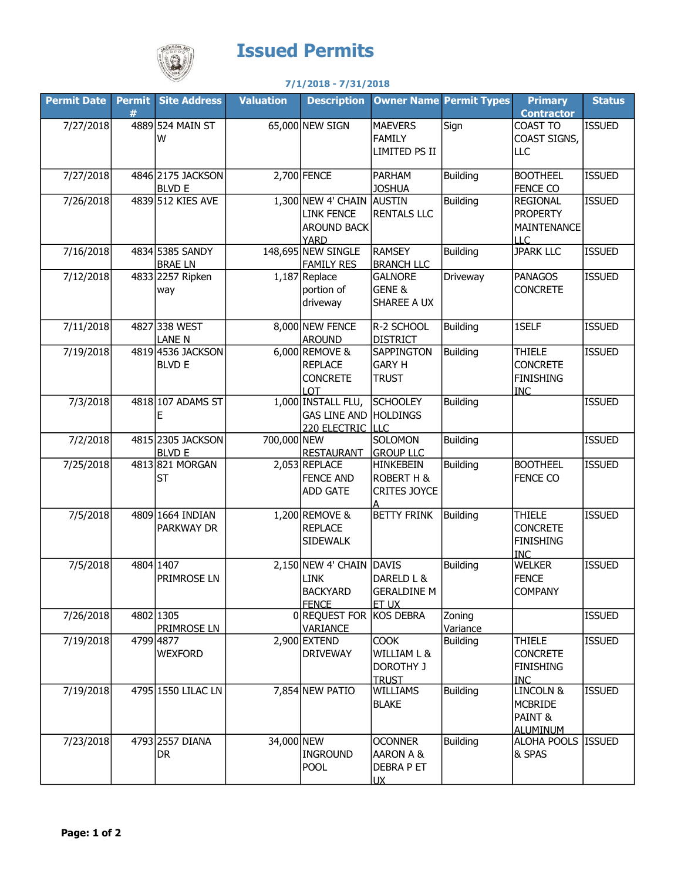

## Issued Permits

## 7/1/2018 - 7/31/2018

| <b>Permit Date</b> | # | <b>Permit Site Address</b>            | <b>Valuation</b> | <b>Description</b>                                                           |                                                                | <b>Owner Name Permit Types</b> | <b>Primary</b><br><b>Contractor</b>                                | <b>Status</b> |
|--------------------|---|---------------------------------------|------------------|------------------------------------------------------------------------------|----------------------------------------------------------------|--------------------------------|--------------------------------------------------------------------|---------------|
| 7/27/2018          |   | 4889 524 MAIN ST<br>W                 |                  | 65,000 NEW SIGN                                                              | <b>MAEVERS</b><br><b>FAMILY</b><br>LIMITED PS II               | Sign                           | COAST TO<br>COAST SIGNS,<br>LLC                                    | <b>ISSUED</b> |
| 7/27/2018          |   | 4846 2175 JACKSON<br><b>BLVD E</b>    |                  | 2,700 FENCE                                                                  | <b>PARHAM</b><br><b>JOSHUA</b>                                 | <b>Building</b>                | <b>BOOTHEEL</b><br><b>FENCE CO</b>                                 | <b>ISSUED</b> |
| 7/26/2018          |   | 4839 512 KIES AVE                     |                  | 1,300 NEW 4' CHAIN<br><b>LINK FENCE</b><br><b>AROUND BACK</b><br><b>YARD</b> | AUSTIN<br><b>RENTALS LLC</b>                                   | <b>Building</b>                | <b>REGIONAL</b><br><b>PROPERTY</b><br>MAINTENANCE<br>LLC           | <b>ISSUED</b> |
| 7/16/2018          |   | 4834 5385 SANDY<br><b>BRAELN</b>      |                  | 148,695 NEW SINGLE<br><b>FAMILY RES</b>                                      | <b>RAMSEY</b><br><b>BRANCH LLC</b>                             | <b>Building</b>                | <b>JPARK LLC</b>                                                   | <b>ISSUED</b> |
| 7/12/2018          |   | 4833 2257 Ripken<br>way               |                  | 1,187 Replace<br>portion of<br>driveway                                      | <b>GALNORE</b><br>GENE &<br>SHAREE A UX                        | Driveway                       | <b>PANAGOS</b><br><b>CONCRETE</b>                                  | <b>ISSUED</b> |
| 7/11/2018          |   | 4827 338 WEST<br><b>LANE N</b>        |                  | 8,000 NEW FENCE<br><b>AROUND</b>                                             | R-2 SCHOOL<br><b>DISTRICT</b>                                  | <b>Building</b>                | 1SELF                                                              | <b>ISSUED</b> |
| 7/19/2018          |   | 4819 4536 JACKSON<br><b>BLVD E</b>    |                  | 6,000 REMOVE &<br><b>REPLACE</b><br><b>CONCRETE</b><br><b>LOT</b>            | SAPPINGTON<br><b>GARY H</b><br><b>TRUST</b>                    | <b>Building</b>                | <b>THIELE</b><br><b>CONCRETE</b><br><b>FINISHING</b><br><b>INC</b> | <b>ISSUED</b> |
| 7/3/2018           |   | 4818 107 ADAMS ST<br>Ε                |                  | 1,000 INSTALL FLU,<br><b>GAS LINE AND</b><br>220 ELECTRIC                    | <b>SCHOOLEY</b><br><b>HOLDINGS</b><br><b>LLC</b>               | <b>Building</b>                |                                                                    | <b>ISSUED</b> |
| 7/2/2018           |   | 4815 2305 JACKSON<br><b>BLVD E</b>    | 700,000 NEW      | <b>RESTAURANT</b>                                                            | <b>SOLOMON</b><br><b>GROUP LLC</b>                             | <b>Building</b>                |                                                                    | <b>ISSUED</b> |
| 7/25/2018          |   | 4813 821 MORGAN<br><b>ST</b>          |                  | 2,053 REPLACE<br><b>FENCE AND</b><br><b>ADD GATE</b>                         | <b>HINKEBEIN</b><br>ROBERT H &<br>CRITES JOYCE                 | <b>Building</b>                | <b>BOOTHEEL</b><br><b>FENCE CO</b>                                 | <b>ISSUED</b> |
| 7/5/2018           |   | 4809 1664 INDIAN<br><b>PARKWAY DR</b> |                  | 1,200 REMOVE &<br><b>REPLACE</b><br><b>SIDEWALK</b>                          | <b>BETTY FRINK</b>                                             | <b>Building</b>                | <b>THIELE</b><br><b>CONCRETE</b><br><b>FINISHING</b><br><b>INC</b> | <b>ISSUED</b> |
| 7/5/2018           |   | 4804 1407<br><b>PRIMROSE LN</b>       |                  | $2,150$ NEW 4' CHAIN<br><b>LINK</b><br><b>BACKYARD</b><br><b>FENCE</b>       | DAVIS<br>DARELD L &<br>GERALDINE M<br>ET UX                    | <b>Building</b>                | <b>WELKER</b><br><b>FENCE</b><br><b>COMPANY</b>                    | <b>ISSUED</b> |
| 7/26/2018          |   | 4802 1305<br><b>PRIMROSE LN</b>       |                  | 0 REQUEST FOR<br><b>VARIANCE</b>                                             | KOS DEBRA                                                      | Zoning<br>Variance             |                                                                    | <b>ISSUED</b> |
| 7/19/2018          |   | 4799 4877<br><b>WEXFORD</b>           |                  | $2,900$ EXTEND<br><b>DRIVEWAY</b>                                            | <b>COOK</b><br>WILLIAM L &<br><b>DOROTHY J</b><br><b>TRUST</b> | <b>Building</b>                | <b>THIELE</b><br><b>CONCRETE</b><br><b>FINISHING</b><br><b>INC</b> | <b>ISSUED</b> |
| 7/19/2018          |   | 4795 1550 LILAC LN                    |                  | 7,854 NEW PATIO                                                              | <b>WILLIAMS</b><br><b>BLAKE</b>                                | <b>Building</b>                | LINCOLN &<br><b>MCBRIDE</b><br>PAINT &<br><b>ALUMINUM</b>          | <b>ISSUED</b> |
| 7/23/2018          |   | 4793 2557 DIANA<br>DR.                | 34,000 NEW       | <b>INGROUND</b><br><b>POOL</b>                                               | <b>OCONNER</b><br>AARON A &<br>DEBRA P ET<br>UX                | <b>Building</b>                | ALOHA POOLS   ISSUED<br>& SPAS                                     |               |